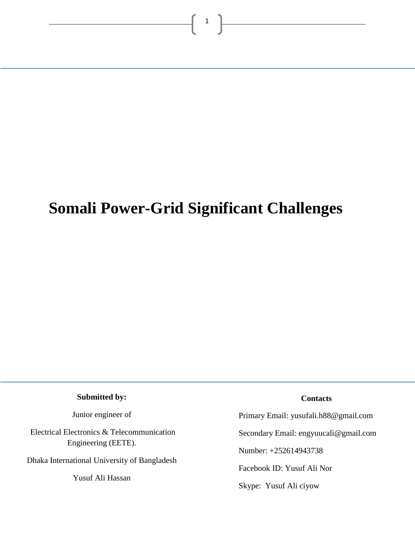# **Somali Power-Grid Significant Challenges**

 $\left| \begin{array}{c} 1 \end{array} \right|$ 

**Submitted by:**

Junior engineer of

Electrical Electronics & Telecommunication Engineering (EETE).

Dhaka International University of Bangladesh

Yusuf Ali Hassan

#### **Contacts**

Primary Email: yusufali.h88@gmail.com

Secondary Email: engyuucali@gmail.com

Number: +252614943738

Facebook ID: Yusuf Ali Nor

Skype: Yusuf Ali ciyow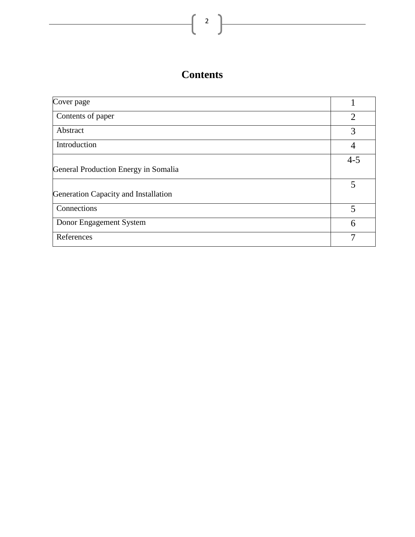# **Contents**

| Cover page                           |                |
|--------------------------------------|----------------|
| Contents of paper                    | $\overline{2}$ |
| Abstract                             | 3              |
| Introduction                         |                |
|                                      | $4 - 5$        |
| General Production Energy in Somalia |                |
|                                      | 5              |
| Generation Capacity and Installation |                |
| Connections                          | 5              |
| Donor Engagement System              | 6              |
| References                           | 7              |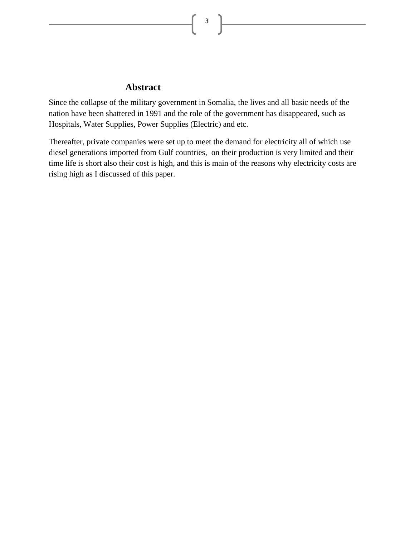3

## **Abstract**

Since the collapse of the military government in Somalia, the lives and all basic needs of the nation have been shattered in 1991 and the role of the government has disappeared, such as Hospitals, Water Supplies, Power Supplies (Electric) and etc.

Thereafter, private companies were set up to meet the demand for electricity all of which use diesel generations imported from Gulf countries, on their production is very limited and their time life is short also their cost is high, and this is main of the reasons why electricity costs are rising high as I discussed of this paper.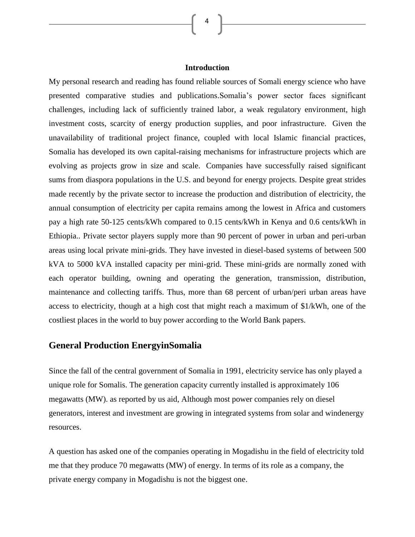#### **Introduction**

4

My personal research and reading has found reliable sources of Somali energy science who have presented comparative studies and publications.Somalia's power sector faces significant challenges, including lack of sufficiently trained labor, a weak regulatory environment, high investment costs, scarcity of energy production supplies, and poor infrastructure. Given the unavailability of traditional project finance, coupled with local Islamic financial practices, Somalia has developed its own capital-raising mechanisms for infrastructure projects which are evolving as projects grow in size and scale. Companies have successfully raised significant sums from diaspora populations in the U.S. and beyond for energy projects. Despite great strides made recently by the private sector to increase the production and distribution of electricity, the annual consumption of electricity per capita remains among the lowest in Africa and customers pay a high rate 50-125 cents/kWh compared to 0.15 cents/kWh in Kenya and 0.6 cents/kWh in Ethiopia.. Private sector players supply more than 90 percent of power in urban and peri-urban areas using local private mini-grids. They have invested in diesel-based systems of between 500 kVA to 5000 kVA installed capacity per mini-grid. These mini-grids are normally zoned with each operator building, owning and operating the generation, transmission, distribution, maintenance and collecting tariffs. Thus, more than 68 percent of urban/peri urban areas have access to electricity, though at a high cost that might reach a maximum of \$1/kWh, one of the costliest places in the world to buy power according to the World Bank papers.

### **General Production EnergyinSomalia**

Since the fall of the central government of Somalia in 1991, electricity service has only played a unique role for Somalis. The generation capacity currently installed is approximately 106 megawatts (MW). as reported by us aid, Although most power companies rely on diesel generators, interest and investment are growing in integrated systems from solar and windenergy resources.

A question has asked one of the companies operating in Mogadishu in the field of electricity told me that they produce 70 megawatts (MW) of energy. In terms of its role as a company, the private energy company in Mogadishu is not the biggest one.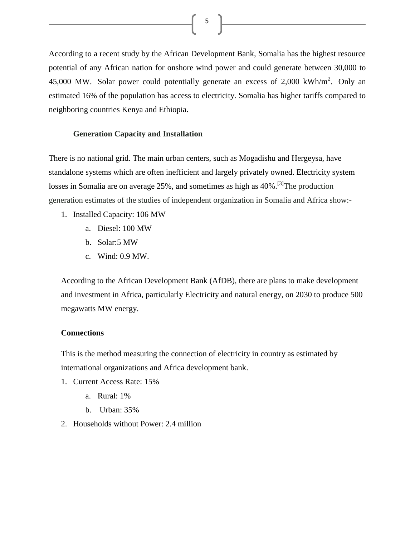According to a recent study by the African Development Bank, Somalia has the highest resource potential of any African nation for onshore wind power and could generate between 30,000 to 45,000 MW. Solar power could potentially generate an excess of 2,000 kWh/m<sup>2</sup>. Only an estimated 16% of the population has access to electricity. Somalia has higher tariffs compared to neighboring countries Kenya and Ethiopia.

 $5 \quad \boxed{}$ 

#### **Generation Capacity and Installation**

There is no national grid. The main urban centers, such as Mogadishu and Hergeysa, have standalone systems which are often inefficient and largely privately owned. Electricity system losses in Somalia are on average 25%, and sometimes as high as 40%.<sup>[3]</sup>The production generation estimates of the studies of independent organization in Somalia and Africa show:-

- 1. Installed Capacity: 106 MW
	- a. Diesel: 100 MW
	- b. Solar:5 MW
	- c. Wind: 0.9 MW.

According to the African Development Bank (AfDB), there are plans to make development and investment in Africa, particularly Electricity and natural energy, on 2030 to produce 500 megawatts MW energy.

#### **Connections**

This is the method measuring the connection of electricity in country as estimated by international organizations and Africa development bank.

- 1. Current Access Rate: 15%
	- a. Rural: 1%
	- b. Urban: 35%
- 2. Households without Power: 2.4 million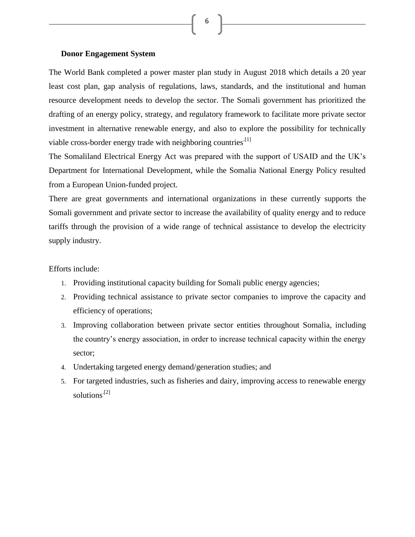#### **Donor Engagement System**

The World Bank completed a power master plan study in August 2018 which details a 20 year least cost plan, gap analysis of regulations, laws, standards, and the institutional and human resource development needs to develop the sector. The Somali government has prioritized the drafting of an energy policy, strategy, and regulatory framework to facilitate more private sector investment in alternative renewable energy, and also to explore the possibility for technically viable cross-border energy trade with neighboring countries.<sup>[1]</sup>

6

The Somaliland Electrical Energy Act was prepared with the support of USAID and the UK's Department for International Development, while the Somalia National Energy Policy resulted from a European Union-funded project.

There are great governments and international organizations in these currently supports the Somali government and private sector to increase the availability of quality energy and to reduce tariffs through the provision of a wide range of technical assistance to develop the electricity supply industry.

#### Efforts include:

- 1. Providing institutional capacity building for Somali public energy agencies;
- 2. Providing technical assistance to private sector companies to improve the capacity and efficiency of operations;
- 3. Improving collaboration between private sector entities throughout Somalia, including the country's energy association, in order to increase technical capacity within the energy sector;
- 4. Undertaking targeted energy demand/generation studies; and
- 5. For targeted industries, such as fisheries and dairy, improving access to renewable energy solutions<sup>[2]</sup>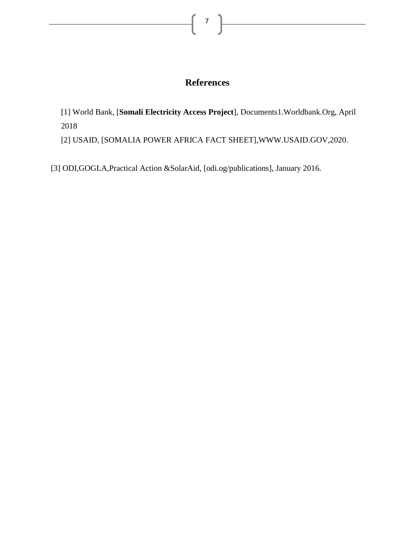# **References**

[1] World Bank, [**Somali Electricity Access Project**], Documents1.Worldbank.Org, April 2018

[2] USAID, [SOMALIA POWER AFRICA FACT SHEET],WWW.USAID.GOV,2020.

[3] ODI,GOGLA,Practical Action &SolarAid, [odi.og/publications], January 2016.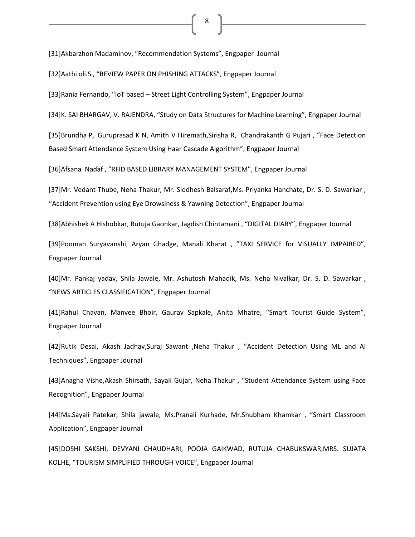#### [31]Akbarzhon Madaminov, "Recommendation Systems", Engpaper Journal

[32]Aathi oli.S , "REVIEW PAPER ON PHISHING ATTACKS", Engpaper Journal

[33]Rania Fernando, "IoT based – Street Light Controlling System", Engpaper Journal

[34]K. SAI BHARGAV, V. RAJENDRA, "Study on Data Structures for Machine Learning", Engpaper Journal

8

[35]Brundha P, Guruprasad K N, Amith V Hiremath,Sirisha R, Chandrakanth G Pujari , "Face Detection Based Smart Attendance System Using Haar Cascade Algorithm", Engpaper Journal

[36]Afsana Nadaf , "RFID BASED LIBRARY MANAGEMENT SYSTEM", Engpaper Journal

[37]Mr. Vedant Thube, Neha Thakur, Mr. Siddhesh Balsaraf,Ms. Priyanka Hanchate, Dr. S. D. Sawarkar , "Accident Prevention using Eye Drowsiness & Yawning Detection", Engpaper Journal

[38]Abhishek A Hishobkar, Rutuja Gaonkar, Jagdish Chintamani , "DIGITAL DIARY", Engpaper Journal

[39]Pooman Suryavanshi, Aryan Ghadge, Manali Kharat , "TAXI SERVICE for VISUALLY IMPAIRED", Engpaper Journal

[40]Mr. Pankaj yadav, Shila Jawale, Mr. Ashutosh Mahadik, Ms. Neha Nivalkar, Dr. S. D. Sawarkar , "NEWS ARTICLES CLASSIFICATION", Engpaper Journal

[41]Rahul Chavan, Manvee Bhoir, Gaurav Sapkale, Anita Mhatre, "Smart Tourist Guide System", Engpaper Journal

[42]Rutik Desai, Akash Jadhav,Suraj Sawant ,Neha Thakur , "Accident Detection Using ML and AI Techniques", Engpaper Journal

[43]Anagha Vishe,Akash Shirsath, Sayali Gujar, Neha Thakur , "Student Attendance System using Face Recognition", Engpaper Journal

[44]Ms.Sayali Patekar, Shila jawale, Ms.Pranali Kurhade, Mr.Shubham Khamkar , "Smart Classroom Application", Engpaper Journal

[45]DOSHI SAKSHI, DEVYANI CHAUDHARI, POOJA GAIKWAD, RUTUJA CHABUKSWAR,MRS. SUJATA KOLHE, "TOURISM SIMPLIFIED THROUGH VOICE", Engpaper Journal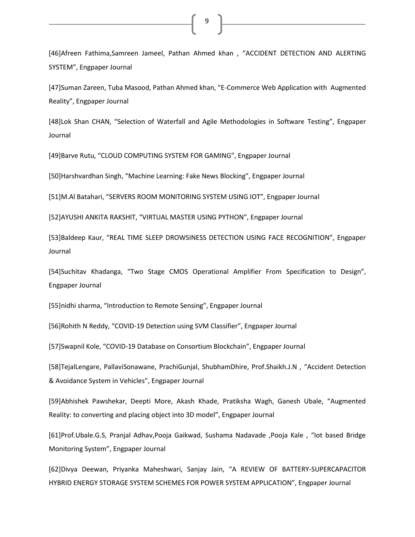[46]Afreen Fathima,Samreen Jameel, Pathan Ahmed khan , "ACCIDENT DETECTION AND ALERTING SYSTEM", Engpaper Journal

9

[47]Suman Zareen, Tuba Masood, Pathan Ahmed khan, "E-Commerce Web Application with Augmented Reality", Engpaper Journal

[48]Lok Shan CHAN, "Selection of Waterfall and Agile Methodologies in Software Testing", Engpaper Journal

[49]Barve Rutu, "CLOUD COMPUTING SYSTEM FOR GAMING", Engpaper Journal

[50]Harshvardhan Singh, "Machine Learning: Fake News Blocking", Engpaper Journal

[51]M.Al Batahari, "SERVERS ROOM MONITORING SYSTEM USING IOT", Engpaper Journal

[52]AYUSHI ANKITA RAKSHIT, "VIRTUAL MASTER USING PYTHON", Engpaper Journal

[53]Baldeep Kaur, "REAL TIME SLEEP DROWSINESS DETECTION USING FACE RECOGNITION", Engpaper Journal

[54]Suchitav Khadanga, "Two Stage CMOS Operational Amplifier From Specification to Design", Engpaper Journal

[55]nidhi sharma, "Introduction to Remote Sensing", Engpaper Journal

[56]Rohith N Reddy, "COVID-19 Detection using SVM Classifier", Engpaper Journal

[57]Swapnil Kole, "COVID-19 Database on Consortium Blockchain", Engpaper Journal

[58]TejalLengare, PallaviSonawane, PrachiGunjal, ShubhamDhire, Prof.Shaikh.J.N , "Accident Detection & Avoidance System in Vehicles", Engpaper Journal

[59]Abhishek Pawshekar, Deepti More, Akash Khade, Pratiksha Wagh, Ganesh Ubale, "Augmented Reality: to converting and placing object into 3D model", Engpaper Journal

[61]Prof.Ubale.G.S, Pranjal Adhav,Pooja Gaikwad, Sushama Nadavade ,Pooja Kale , "Iot based Bridge Monitoring System", Engpaper Journal

[62]Divya Deewan, Priyanka Maheshwari, Sanjay Jain, "A REVIEW OF BATTERY-SUPERCAPACITOR HYBRID ENERGY STORAGE SYSTEM SCHEMES FOR POWER SYSTEM APPLICATION", Engpaper Journal